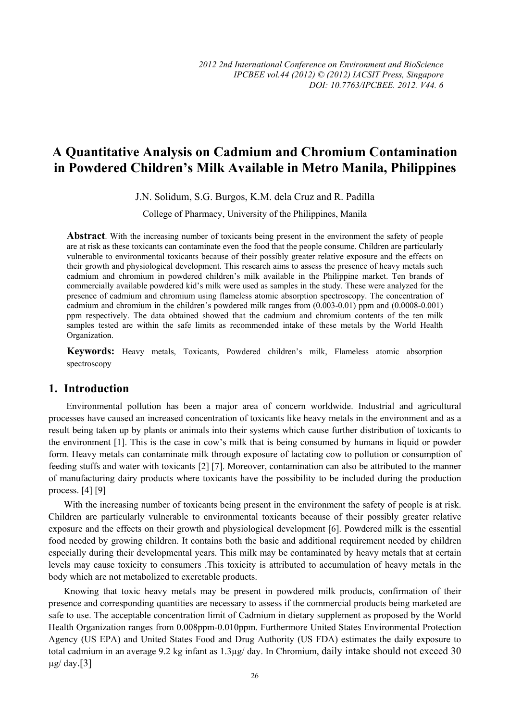# **A Quantitative Analysis on Cadmium and Chromium Contamination in Powdered Children's Milk Available in Metro Manila, Philippines**

J.N. Solidum, S.G. Burgos, K.M. dela Cruz and R. Padilla

College of Pharmacy, University of the Philippines, Manila

**Abstract**. With the increasing number of toxicants being present in the environment the safety of people are at risk as these toxicants can contaminate even the food that the people consume. Children are particularly vulnerable to environmental toxicants because of their possibly greater relative exposure and the effects on their growth and physiological development. This research aims to assess the presence of heavy metals such cadmium and chromium in powdered children's milk available in the Philippine market. Ten brands of commercially available powdered kid's milk were used as samples in the study. These were analyzed for the presence of cadmium and chromium using flameless atomic absorption spectroscopy. The concentration of cadmium and chromium in the children's powdered milk ranges from (0.003-0.01) ppm and (0.0008-0.001) ppm respectively. The data obtained showed that the cadmium and chromium contents of the ten milk samples tested are within the safe limits as recommended intake of these metals by the World Health Organization.

**Keywords:** Heavy metals, Toxicants, Powdered children's milk, Flameless atomic absorption spectroscopy

### **1. Introduction**

Environmental pollution has been a major area of concern worldwide. Industrial and agricultural processes have caused an increased concentration of toxicants like heavy metals in the environment and as a result being taken up by plants or animals into their systems which cause further distribution of toxicants to the environment [1]. This is the case in cow's milk that is being consumed by humans in liquid or powder form. Heavy metals can contaminate milk through exposure of lactating cow to pollution or consumption of feeding stuffs and water with toxicants [2] [7]. Moreover, contamination can also be attributed to the manner of manufacturing dairy products where toxicants have the possibility to be included during the production process. [4] [9]

With the increasing number of toxicants being present in the environment the safety of people is at risk. Children are particularly vulnerable to environmental toxicants because of their possibly greater relative exposure and the effects on their growth and physiological development [6]. Powdered milk is the essential food needed by growing children. It contains both the basic and additional requirement needed by children especially during their developmental years. This milk may be contaminated by heavy metals that at certain levels may cause toxicity to consumers .This toxicity is attributed to accumulation of heavy metals in the body which are not metabolized to excretable products.

Knowing that toxic heavy metals may be present in powdered milk products, confirmation of their presence and corresponding quantities are necessary to assess if the commercial products being marketed are safe to use. The acceptable concentration limit of Cadmium in dietary supplement as proposed by the World Health Organization ranges from 0.008ppm-0.010ppm. Furthermore United States Environmental Protection Agency (US EPA) and United States Food and Drug Authority (US FDA) estimates the daily exposure to total cadmium in an average 9.2 kg infant as 1.3µg/ day. In Chromium, daily intake should not exceed 30  $\mu$ g/ day.[3]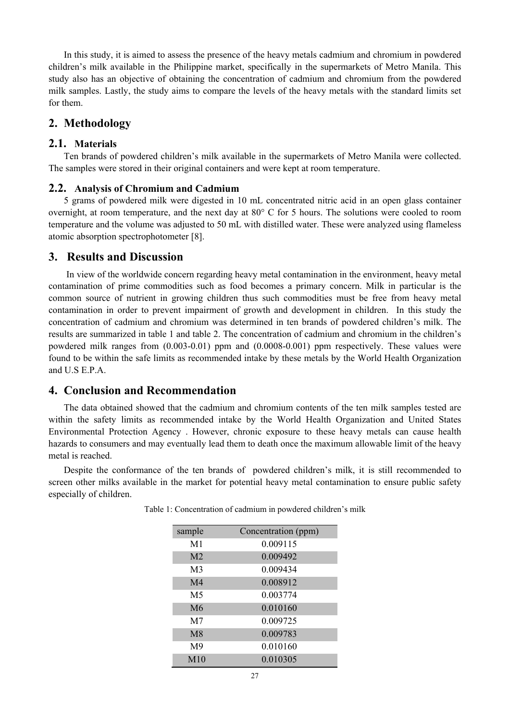In this study, it is aimed to assess the presence of the heavy metals cadmium and chromium in powdered children's milk available in the Philippine market, specifically in the supermarkets of Metro Manila. This study also has an objective of obtaining the concentration of cadmium and chromium from the powdered milk samples. Lastly, the study aims to compare the levels of the heavy metals with the standard limits set for them.

## **2. Methodology**

#### **2.1. Materials**

Ten brands of powdered children's milk available in the supermarkets of Metro Manila were collected. The samples were stored in their original containers and were kept at room temperature.

#### **2.2. Analysis of Chromium and Cadmium**

5 grams of powdered milk were digested in 10 mL concentrated nitric acid in an open glass container overnight, at room temperature, and the next day at 80° C for 5 hours. The solutions were cooled to room temperature and the volume was adjusted to 50 mL with distilled water. These were analyzed using flameless atomic absorption spectrophotometer [8].

### **3. Results and Discussion**

In view of the worldwide concern regarding heavy metal contamination in the environment, heavy metal contamination of prime commodities such as food becomes a primary concern. Milk in particular is the common source of nutrient in growing children thus such commodities must be free from heavy metal contamination in order to prevent impairment of growth and development in children. In this study the concentration of cadmium and chromium was determined in ten brands of powdered children's milk. The results are summarized in table 1 and table 2. The concentration of cadmium and chromium in the children's powdered milk ranges from (0.003-0.01) ppm and (0.0008-0.001) ppm respectively. These values were found to be within the safe limits as recommended intake by these metals by the World Health Organization and U.S E.P.A.

# **4. Conclusion and Recommendation**

The data obtained showed that the cadmium and chromium contents of the ten milk samples tested are within the safety limits as recommended intake by the World Health Organization and United States Environmental Protection Agency . However, chronic exposure to these heavy metals can cause health hazards to consumers and may eventually lead them to death once the maximum allowable limit of the heavy metal is reached.

Despite the conformance of the ten brands of powdered children's milk, it is still recommended to screen other milks available in the market for potential heavy metal contamination to ensure public safety especially of children.

| sample         | Concentration (ppm) |
|----------------|---------------------|
| M <sub>1</sub> | 0.009115            |
| M <sub>2</sub> | 0.009492            |
| M <sub>3</sub> | 0.009434            |
| M <sub>4</sub> | 0.008912            |
| M <sub>5</sub> | 0.003774            |
| M6             | 0.010160            |
| M <sub>7</sub> | 0.009725            |
| M8             | 0.009783            |
| M <sup>9</sup> | 0.010160            |
| M10            | 0.010305            |

Table 1: Concentration of cadmium in powdered children's milk